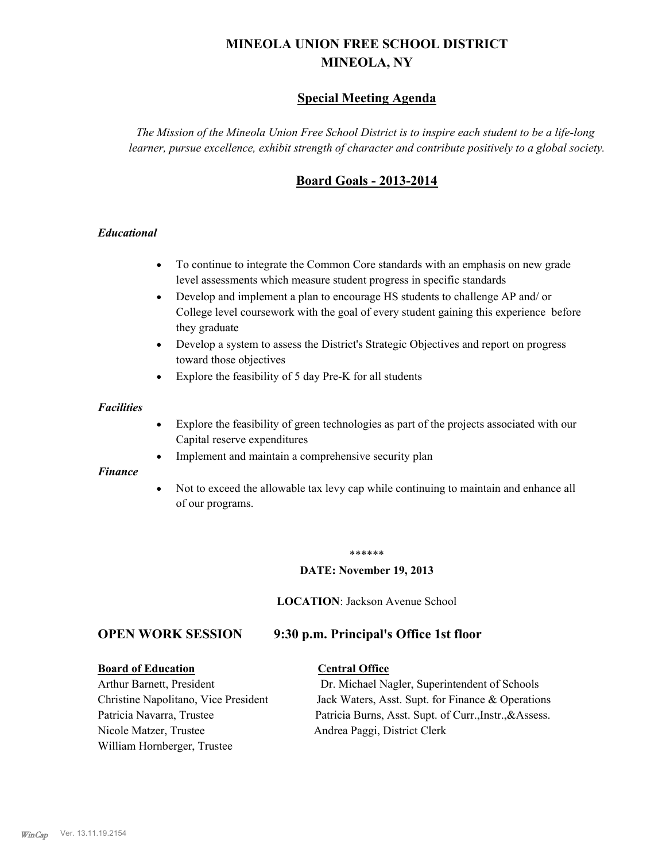# **MINEOLA UNION FREE SCHOOL DISTRICT MINEOLA, NY**

# **Special Meeting Agenda**

*The Mission of the Mineola Union Free School District is to inspire each student to be a life-long learner, pursue excellence, exhibit strength of character and contribute positively to a global society.*

# **Board Goals - 2013-2014**

## *Educational*

- · To continue to integrate the Common Core standards with an emphasis on new grade level assessments which measure student progress in specific standards
- · Develop and implement a plan to encourage HS students to challenge AP and/ or College level coursework with the goal of every student gaining this experience before they graduate
- Develop a system to assess the District's Strategic Objectives and report on progress toward those objectives
- · Explore the feasibility of 5 day Pre-K for all students

#### *Facilities*

- · Explore the feasibility of green technologies as part of the projects associated with our Capital reserve expenditures
- Implement and maintain a comprehensive security plan

#### *Finance*

• Not to exceed the allowable tax levy cap while continuing to maintain and enhance all of our programs.

#### \*\*\*\*\*\*

#### **DATE: November 19, 2013**

**LOCATION**: Jackson Avenue School

# **OPEN WORK SESSION 9:30 p.m. Principal's Office 1st floor**

#### **Board of Education Central Office**

Nicole Matzer, Trustee Andrea Paggi, District Clerk William Hornberger, Trustee

Arthur Barnett, President Dr. Michael Nagler, Superintendent of Schools Christine Napolitano, Vice President Jack Waters, Asst. Supt. for Finance & Operations Patricia Navarra, Trustee Patricia Burns, Asst. Supt. of Curr., Instr., &Assess.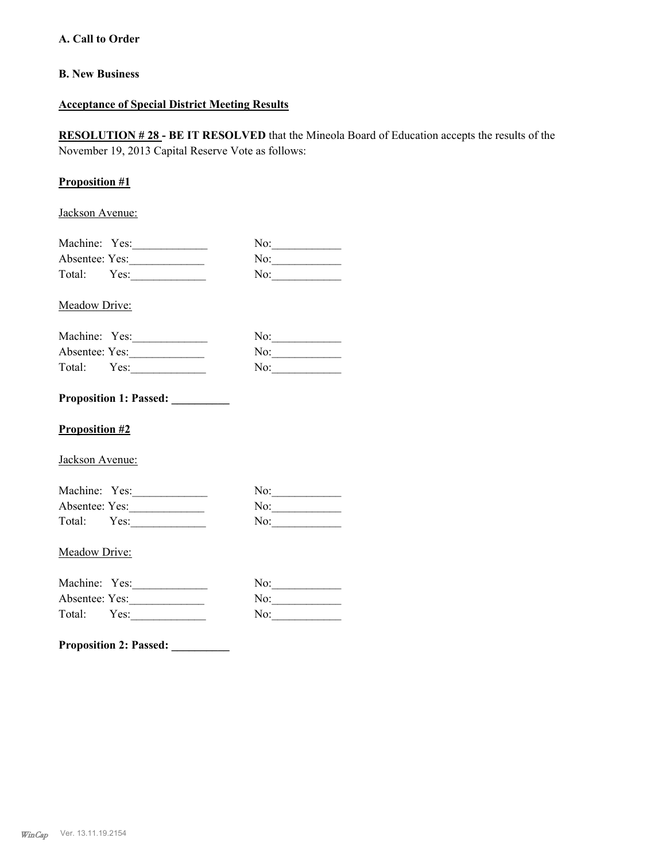## **A. Call to Order**

## **B. New Business**

## **Acceptance of Special District Meeting Results**

**RESOLUTION # 28 - BE IT RESOLVED** that the Mineola Board of Education accepts the results of the November 19, 2013 Capital Reserve Vote as follows:

## **Proposition #1**

Jackson Avenue:

| Machine: Yes:  |      | No: |
|----------------|------|-----|
| Absentee: Yes: |      | No: |
| Total:         | Yes: | No: |

Meadow Drive:

| Machine: Yes:  |      | No: |
|----------------|------|-----|
| Absentee: Yes: |      | No: |
| Total:         | Yes: | No: |

# **Proposition 1: Passed: \_\_\_\_\_\_\_\_\_\_**

### **Proposition #2**

Jackson Avenue:

| Machine: Yes:  |      | No: |
|----------------|------|-----|
| Absentee: Yes: |      | No: |
| Total:         | Yes: | No: |

#### Meadow Drive:

| Machine: Yes:  |      | No: |
|----------------|------|-----|
| Absentee: Yes: |      | No: |
| Total:         | Yes: | No: |

**Proposition 2: Passed: \_\_\_\_\_\_\_\_\_\_**